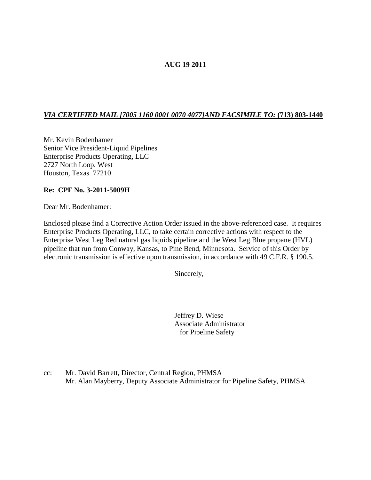# **AUG 19 2011**

## *VIA CERTIFIED MAIL [7005 1160 0001 0070 4077]AND FACSIMILE TO:* **(713) 803-1440**

Mr. Kevin Bodenhamer Senior Vice President-Liquid Pipelines Enterprise Products Operating, LLC 2727 North Loop, West Houston, Texas 77210

### **Re: CPF No. 3-2011-5009H**

Dear Mr. Bodenhamer:

Enclosed please find a Corrective Action Order issued in the above-referenced case. It requires Enterprise Products Operating, LLC, to take certain corrective actions with respect to the Enterprise West Leg Red natural gas liquids pipeline and the West Leg Blue propane (HVL) pipeline that run from Conway, Kansas, to Pine Bend, Minnesota. Service of this Order by electronic transmission is effective upon transmission, in accordance with 49 C.F.R. § 190.5.

Sincerely,

Jeffrey D. Wiese Associate Administrator for Pipeline Safety

cc: Mr. David Barrett, Director, Central Region, PHMSA Mr. Alan Mayberry, Deputy Associate Administrator for Pipeline Safety, PHMSA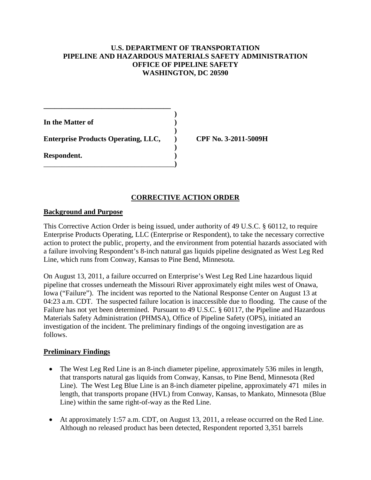### **U.S. DEPARTMENT OF TRANSPORTATION PIPELINE AND HAZARDOUS MATERIALS SAFETY ADMINISTRATION OFFICE OF PIPELINE SAFETY WASHINGTON, DC 20590**

**)**

**)**

**)**

**In the Matter of ) Enterprise Products Operating, LLC, ) CPF No. 3-2011-5009H Respondent. )** \_\_\_\_\_\_\_\_\_\_\_\_\_\_\_\_\_\_\_\_\_\_\_\_\_\_\_\_\_\_\_\_\_\_\_\_**)**

**\_\_\_\_\_\_\_\_\_\_\_\_\_\_\_\_\_\_\_\_\_\_\_\_\_\_\_\_\_\_\_\_\_\_\_**

### **CORRECTIVE ACTION ORDER**

### **Background and Purpose**

This Corrective Action Order is being issued, under authority of 49 U.S.C. § 60112, to require Enterprise Products Operating, LLC (Enterprise or Respondent), to take the necessary corrective action to protect the public, property, and the environment from potential hazards associated with a failure involving Respondent's 8-inch natural gas liquids pipeline designated as West Leg Red Line, which runs from Conway, Kansas to Pine Bend, Minnesota.

On August 13, 2011, a failure occurred on Enterprise's West Leg Red Line hazardous liquid pipeline that crosses underneath the Missouri River approximately eight miles west of Onawa, Iowa ("Failure"). The incident was reported to the National Response Center on August 13 at 04:23 a.m. CDT. The suspected failure location is inaccessible due to flooding. The cause of the Failure has not yet been determined. Pursuant to 49 U.S.C. § 60117, the Pipeline and Hazardous Materials Safety Administration (PHMSA), Office of Pipeline Safety (OPS), initiated an investigation of the incident. The preliminary findings of the ongoing investigation are as follows.

### **Preliminary Findings**

- The West Leg Red Line is an 8-inch diameter pipeline, approximately 536 miles in length, that transports natural gas liquids from Conway, Kansas, to Pine Bend, Minnesota (Red Line). The West Leg Blue Line is an 8-inch diameter pipeline, approximately 471 miles in length, that transports propane (HVL) from Conway, Kansas, to Mankato, Minnesota (Blue Line) within the same right-of-way as the Red Line.
- At approximately 1:57 a.m. CDT, on August 13, 2011, a release occurred on the Red Line. Although no released product has been detected, Respondent reported 3,351 barrels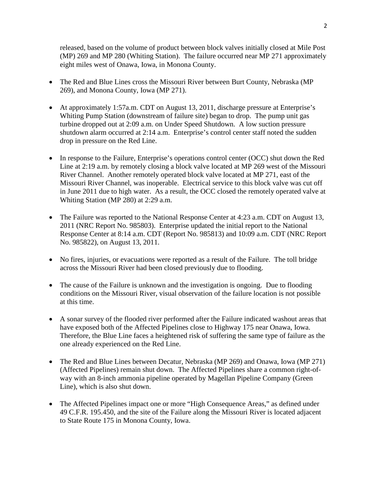released, based on the volume of product between block valves initially closed at Mile Post (MP) 269 and MP 280 (Whiting Station). The failure occurred near MP 271 approximately eight miles west of Onawa, Iowa, in Monona County.

- The Red and Blue Lines cross the Missouri River between Burt County, Nebraska (MP) 269), and Monona County, Iowa (MP 271).
- At approximately 1:57a.m. CDT on August 13, 2011, discharge pressure at Enterprise's Whiting Pump Station (downstream of failure site) began to drop. The pump unit gas turbine dropped out at 2:09 a.m. on Under Speed Shutdown. A low suction pressure shutdown alarm occurred at 2:14 a.m. Enterprise's control center staff noted the sudden drop in pressure on the Red Line.
- In response to the Failure, Enterprise's operations control center (OCC) shut down the Red Line at 2:19 a.m. by remotely closing a block valve located at MP 269 west of the Missouri River Channel. Another remotely operated block valve located at MP 271, east of the Missouri River Channel, was inoperable. Electrical service to this block valve was cut off in June 2011 due to high water. As a result, the OCC closed the remotely operated valve at Whiting Station (MP 280) at 2:29 a.m.
- The Failure was reported to the National Response Center at 4:23 a.m. CDT on August 13, 2011 (NRC Report No. 985803). Enterprise updated the initial report to the National Response Center at 8:14 a.m. CDT (Report No. 985813) and 10:09 a.m. CDT (NRC Report No. 985822), on August 13, 2011.
- No fires, injuries, or evacuations were reported as a result of the Failure. The toll bridge across the Missouri River had been closed previously due to flooding.
- The cause of the Failure is unknown and the investigation is ongoing. Due to flooding conditions on the Missouri River, visual observation of the failure location is not possible at this time.
- A sonar survey of the flooded river performed after the Failure indicated washout areas that have exposed both of the Affected Pipelines close to Highway 175 near Onawa, Iowa. Therefore, the Blue Line faces a heightened risk of suffering the same type of failure as the one already experienced on the Red Line.
- The Red and Blue Lines between Decatur, Nebraska (MP 269) and Onawa, Iowa (MP 271) (Affected Pipelines) remain shut down. The Affected Pipelines share a common right-ofway with an 8-inch ammonia pipeline operated by Magellan Pipeline Company (Green Line), which is also shut down.
- The Affected Pipelines impact one or more "High Consequence Areas," as defined under 49 C.F.R. 195.450, and the site of the Failure along the Missouri River is located adjacent to State Route 175 in Monona County, Iowa.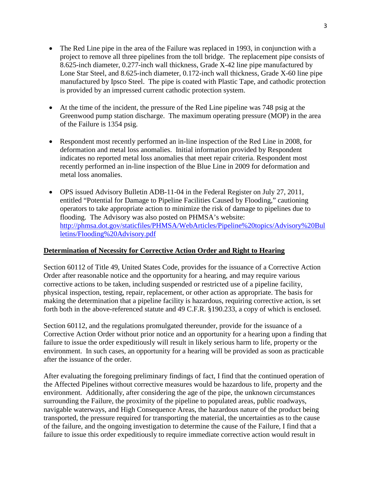- The Red Line pipe in the area of the Failure was replaced in 1993, in conjunction with a project to remove all three pipelines from the toll bridge. The replacement pipe consists of 8.625-inch diameter, 0.277-inch wall thickness, Grade X-42 line pipe manufactured by Lone Star Steel, and 8.625-inch diameter, 0.172-inch wall thickness, Grade X-60 line pipe manufactured by Ipsco Steel. The pipe is coated with Plastic Tape, and cathodic protection is provided by an impressed current cathodic protection system.
- At the time of the incident, the pressure of the Red Line pipeline was 748 psig at the Greenwood pump station discharge. The maximum operating pressure (MOP) in the area of the Failure is 1354 psig.
- Respondent most recently performed an in-line inspection of the Red Line in 2008, for deformation and metal loss anomalies. Initial information provided by Respondent indicates no reported metal loss anomalies that meet repair criteria. Respondent most recently performed an in-line inspection of the Blue Line in 2009 for deformation and metal loss anomalies.
- OPS issued Advisory Bulletin ADB-11-04 in the Federal Register on July 27, 2011, entitled "Potential for Damage to Pipeline Facilities Caused by Flooding," cautioning operators to take appropriate action to minimize the risk of damage to pipelines due to flooding. The Advisory was also posted on PHMSA's website: [http://phmsa.dot.gov/staticfiles/PHMSA/WebArticles/Pipeline%20topics/Advisory%20Bul](http://phmsa.dot.gov/staticfiles/PHMSA/WebArticles/Pipeline%20topics/Advisory%20Bulletins/Flooding%20Advisory.pdf) [letins/Flooding%20Advisory.pdf](http://phmsa.dot.gov/staticfiles/PHMSA/WebArticles/Pipeline%20topics/Advisory%20Bulletins/Flooding%20Advisory.pdf)

### **Determination of Necessity for Corrective Action Order and Right to Hearing**

Section 60112 of Title 49, United States Code, provides for the issuance of a Corrective Action Order after reasonable notice and the opportunity for a hearing, and may require various corrective actions to be taken, including suspended or restricted use of a pipeline facility, physical inspection, testing, repair, replacement, or other action as appropriate. The basis for making the determination that a pipeline facility is hazardous, requiring corrective action, is set forth both in the above-referenced statute and 49 C.F.R. §190.233, a copy of which is enclosed.

Section 60112, and the regulations promulgated thereunder, provide for the issuance of a Corrective Action Order without prior notice and an opportunity for a hearing upon a finding that failure to issue the order expeditiously will result in likely serious harm to life, property or the environment. In such cases, an opportunity for a hearing will be provided as soon as practicable after the issuance of the order.

After evaluating the foregoing preliminary findings of fact, I find that the continued operation of the Affected Pipelines without corrective measures would be hazardous to life, property and the environment. Additionally, after considering the age of the pipe, the unknown circumstances surrounding the Failure, the proximity of the pipeline to populated areas, public roadways, navigable waterways, and High Consequence Areas, the hazardous nature of the product being transported, the pressure required for transporting the material, the uncertainties as to the cause of the failure, and the ongoing investigation to determine the cause of the Failure, I find that a failure to issue this order expeditiously to require immediate corrective action would result in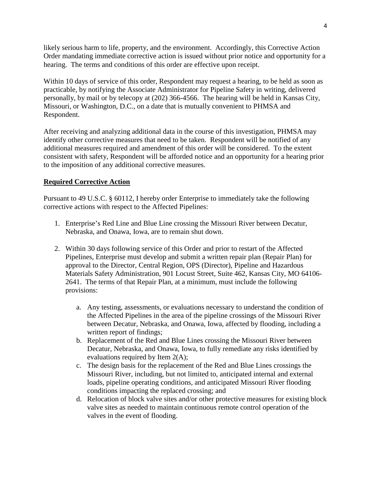likely serious harm to life, property, and the environment. Accordingly, this Corrective Action Order mandating immediate corrective action is issued without prior notice and opportunity for a hearing. The terms and conditions of this order are effective upon receipt.

Within 10 days of service of this order, Respondent may request a hearing, to be held as soon as practicable, by notifying the Associate Administrator for Pipeline Safety in writing, delivered personally, by mail or by telecopy at (202) 366-4566. The hearing will be held in Kansas City, Missouri, or Washington, D.C., on a date that is mutually convenient to PHMSA and Respondent.

After receiving and analyzing additional data in the course of this investigation, PHMSA may identify other corrective measures that need to be taken. Respondent will be notified of any additional measures required and amendment of this order will be considered. To the extent consistent with safety, Respondent will be afforded notice and an opportunity for a hearing prior to the imposition of any additional corrective measures.

## **Required Corrective Action**

Pursuant to 49 U.S.C. § 60112, I hereby order Enterprise to immediately take the following corrective actions with respect to the Affected Pipelines:

- 1. Enterprise's Red Line and Blue Line crossing the Missouri River between Decatur, Nebraska, and Onawa, Iowa, are to remain shut down.
- 2. Within 30 days following service of this Order and prior to restart of the Affected Pipelines, Enterprise must develop and submit a written repair plan (Repair Plan) for approval to the Director, Central Region, OPS (Director), Pipeline and Hazardous Materials Safety Administration, 901 Locust Street, Suite 462, Kansas City, MO 64106- 2641. The terms of that Repair Plan, at a minimum, must include the following provisions:
	- a. Any testing, assessments, or evaluations necessary to understand the condition of the Affected Pipelines in the area of the pipeline crossings of the Missouri River between Decatur, Nebraska, and Onawa, Iowa, affected by flooding, including a written report of findings;
	- b. Replacement of the Red and Blue Lines crossing the Missouri River between Decatur, Nebraska, and Onawa, Iowa, to fully remediate any risks identified by evaluations required by Item 2(A);
	- c. The design basis for the replacement of the Red and Blue Lines crossings the Missouri River, including, but not limited to, anticipated internal and external loads, pipeline operating conditions, and anticipated Missouri River flooding conditions impacting the replaced crossing; and
	- d. Relocation of block valve sites and/or other protective measures for existing block valve sites as needed to maintain continuous remote control operation of the valves in the event of flooding.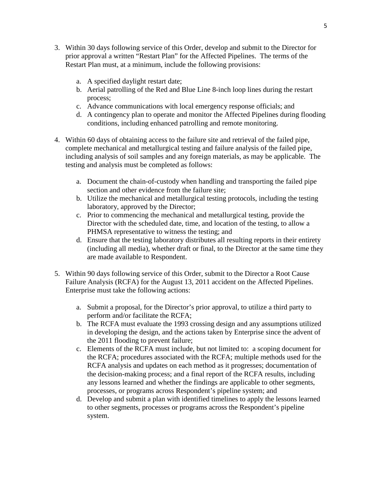- 3. Within 30 days following service of this Order, develop and submit to the Director for prior approval a written "Restart Plan" for the Affected Pipelines. The terms of the Restart Plan must, at a minimum, include the following provisions:
	- a. A specified daylight restart date;
	- b. Aerial patrolling of the Red and Blue Line 8-inch loop lines during the restart process;
	- c. Advance communications with local emergency response officials; and
	- d. A contingency plan to operate and monitor the Affected Pipelines during flooding conditions, including enhanced patrolling and remote monitoring.
- 4. Within 60 days of obtaining access to the failure site and retrieval of the failed pipe, complete mechanical and metallurgical testing and failure analysis of the failed pipe, including analysis of soil samples and any foreign materials, as may be applicable. The testing and analysis must be completed as follows:
	- a. Document the chain-of-custody when handling and transporting the failed pipe section and other evidence from the failure site;
	- b. Utilize the mechanical and metallurgical testing protocols, including the testing laboratory, approved by the Director;
	- c. Prior to commencing the mechanical and metallurgical testing, provide the Director with the scheduled date, time, and location of the testing, to allow a PHMSA representative to witness the testing; and
	- d. Ensure that the testing laboratory distributes all resulting reports in their entirety (including all media), whether draft or final, to the Director at the same time they are made available to Respondent.
- 5. Within 90 days following service of this Order, submit to the Director a Root Cause Failure Analysis (RCFA) for the August 13, 2011 accident on the Affected Pipelines. Enterprise must take the following actions:
	- a. Submit a proposal, for the Director's prior approval, to utilize a third party to perform and/or facilitate the RCFA;
	- b. The RCFA must evaluate the 1993 crossing design and any assumptions utilized in developing the design, and the actions taken by Enterprise since the advent of the 2011 flooding to prevent failure;
	- c. Elements of the RCFA must include, but not limited to: a scoping document for the RCFA; procedures associated with the RCFA; multiple methods used for the RCFA analysis and updates on each method as it progresses; documentation of the decision-making process; and a final report of the RCFA results, including any lessons learned and whether the findings are applicable to other segments, processes, or programs across Respondent's pipeline system; and
	- d. Develop and submit a plan with identified timelines to apply the lessons learned to other segments, processes or programs across the Respondent's pipeline system.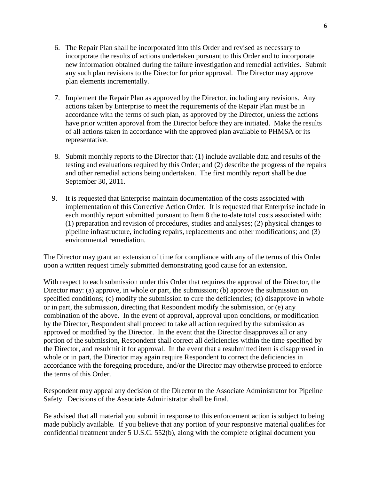- 6. The Repair Plan shall be incorporated into this Order and revised as necessary to incorporate the results of actions undertaken pursuant to this Order and to incorporate new information obtained during the failure investigation and remedial activities. Submit any such plan revisions to the Director for prior approval. The Director may approve plan elements incrementally.
- 7. Implement the Repair Plan as approved by the Director, including any revisions. Any actions taken by Enterprise to meet the requirements of the Repair Plan must be in accordance with the terms of such plan, as approved by the Director, unless the actions have prior written approval from the Director before they are initiated. Make the results of all actions taken in accordance with the approved plan available to PHMSA or its representative.
- 8. Submit monthly reports to the Director that: (1) include available data and results of the testing and evaluations required by this Order; and (2) describe the progress of the repairs and other remedial actions being undertaken. The first monthly report shall be due September 30, 2011.
- 9. It is requested that Enterprise maintain documentation of the costs associated with implementation of this Corrective Action Order. It is requested that Enterprise include in each monthly report submitted pursuant to Item 8 the to-date total costs associated with: (1) preparation and revision of procedures, studies and analyses; (2) physical changes to pipeline infrastructure, including repairs, replacements and other modifications; and (3) environmental remediation.

The Director may grant an extension of time for compliance with any of the terms of this Order upon a written request timely submitted demonstrating good cause for an extension.

With respect to each submission under this Order that requires the approval of the Director, the Director may: (a) approve, in whole or part, the submission; (b) approve the submission on specified conditions; (c) modify the submission to cure the deficiencies; (d) disapprove in whole or in part, the submission, directing that Respondent modify the submission, or (e) any combination of the above. In the event of approval, approval upon conditions, or modification by the Director, Respondent shall proceed to take all action required by the submission as approved or modified by the Director. In the event that the Director disapproves all or any portion of the submission, Respondent shall correct all deficiencies within the time specified by the Director, and resubmit it for approval. In the event that a resubmitted item is disapproved in whole or in part, the Director may again require Respondent to correct the deficiencies in accordance with the foregoing procedure, and/or the Director may otherwise proceed to enforce the terms of this Order.

Respondent may appeal any decision of the Director to the Associate Administrator for Pipeline Safety. Decisions of the Associate Administrator shall be final.

Be advised that all material you submit in response to this enforcement action is subject to being made publicly available. If you believe that any portion of your responsive material qualifies for confidential treatment under 5 U.S.C. 552(b), along with the complete original document you